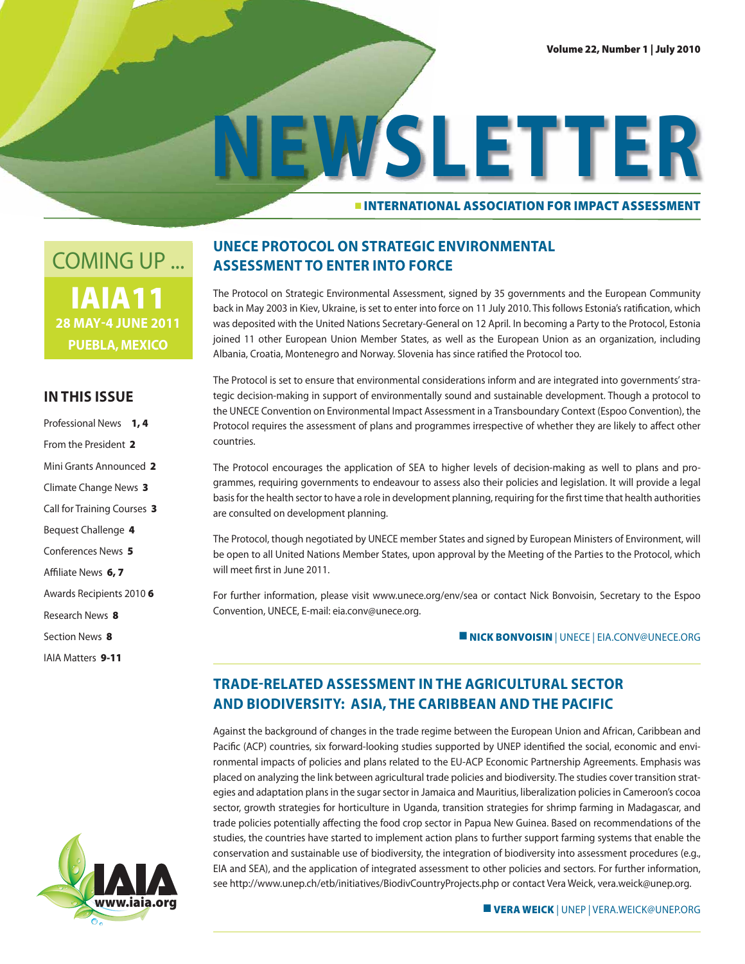# ■ **INTERNATIONAL ASSOCIATION FOR IMPACT ASSESSMENT NEWSLETTER**

**IAIA11 28 MAY-4 JUNE 2011 PUEBLA, MEXICO** COMING UP ...

### **IN THIS ISSUE**

- Professional News **1, 4**
- From the President **2**
- Mini Grants Announced **2**
- Climate Change News **3**
- Call for Training Courses **3**
- Bequest Challenge **4**
- Conferences News **5**
- Affiliate News 6,7
- Awards Recipients 2010 **6**
- Research News **8**
- Section News **8**
- IAIA Matters **9-11**



### **UNECE PROTOCOL ON STRATEGIC ENVIRONMENTAL ASSESSMENT TO ENTER INTO FORCE**

The Protocol on Strategic Environmental Assessment, signed by 35 governments and the European Community back in May 2003 in Kiev, Ukraine, is set to enter into force on 11 July 2010. This follows Estonia's ratification, which was deposited with the United Nations Secretary-General on 12 April. In becoming a Party to the Protocol, Estonia joined 11 other European Union Member States, as well as the European Union as an organization, including Albania, Croatia, Montenegro and Norway. Slovenia has since ratified the Protocol too.

The Protocol is set to ensure that environmental considerations inform and are integrated into governments' strategic decision-making in support of environmentally sound and sustainable development. Though a protocol to the UNECE Convention on Environmental Impact Assessment in a Transboundary Context (Espoo Convention), the Protocol requires the assessment of plans and programmes irrespective of whether they are likely to affect other countries.

The Protocol encourages the application of SEA to higher levels of decision-making as well to plans and programmes, requiring governments to endeavour to assess also their policies and legislation. It will provide a legal basis for the health sector to have a role in development planning, requiring for the first time that health authorities are consulted on development planning.

The Protocol, though negotiated by UNECE member States and signed by European Ministers of Environment, will be open to all United Nations Member States, upon approval by the Meeting of the Parties to the Protocol, which will meet first in June 2011.

For further information, please visit www.unece.org/env/sea or contact Nick Bonvoisin, Secretary to the Espoo Convention, UNECE, E-mail: eia.conv@unece.org.

**NICK BONVOISIN | UNECE | EIA.CONV@UNECE.ORG** 

### **TRADERELATED ASSESSMENT IN THE AGRICULTURAL SECTOR AND BIODIVERSITY: ASIA, THE CARIBBEAN AND THE PACIFIC**

Against the background of changes in the trade regime between the European Union and African, Caribbean and Pacific (ACP) countries, six forward-looking studies supported by UNEP identified the social, economic and environmental impacts of policies and plans related to the EU-ACP Economic Partnership Agreements. Emphasis was placed on analyzing the link between agricultural trade policies and biodiversity. The studies cover transition strategies and adaptation plans in the sugar sector in Jamaica and Mauritius, liberalization policies in Cameroon's cocoa sector, growth strategies for horticulture in Uganda, transition strategies for shrimp farming in Madagascar, and trade policies potentially affecting the food crop sector in Papua New Guinea. Based on recommendations of the studies, the countries have started to implement action plans to further support farming systems that enable the conservation and sustainable use of biodiversity, the integration of biodiversity into assessment procedures (e.g., EIA and SEA), and the application of integrated assessment to other policies and sectors. For further information, see http://www.unep.ch/etb/initiatives/BiodivCountryProjects.php or contact Vera Weick, vera.weick@unep.org.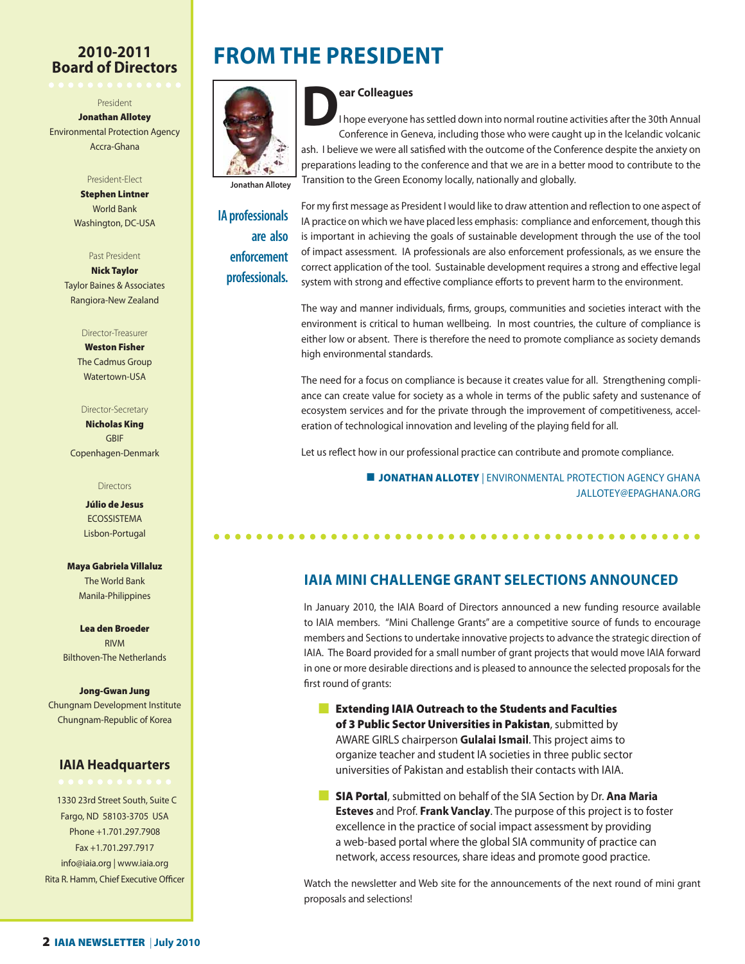### **2010-2011 Board of Directors**

President

**Jonathan Allotey** Environmental Protection Agency Accra-Ghana

#### President-Elect

**Stephen Lintner** World Bank Washington, DC-USA

Past President

**Nick Taylor** Taylor Baines & Associates Rangiora-New Zealand

#### Director-Treasurer

**Weston Fisher** The Cadmus Group Watertown-USA

### Director-Secretary

**Nicholas King** GBIF Copenhagen-Denmark

#### Directors

**Júlio de Jesus** ECOSSISTEMA Lisbon-Portugal

**Maya Gabriela Villaluz** The World Bank Manila-Philippines

**Lea den Broeder** RIVM Bilthoven-The Netherlands

#### **Jong-Gwan Jung**

Chungnam Development Institute Chungnam-Republic of Korea

### **IAIA Headquarters**

1330 23rd Street South, Suite C Fargo, ND 58103-3705 USA Phone +1.701.297.7908 Fax +1.701.297.7917 info@iaia.org | www.iaia.org Rita R. Hamm, Chief Executive Officer

## **FROM THE PRESIDENT**



**Dear Colleagues**<br>
I hope everyone b I hope everyone has settled down into normal routine activities after the 30th Annual Conference in Geneva, including those who were caught up in the Icelandic volcanic ash. I believe we were all satisfied with the outcome of the Conference despite the anxiety on preparations leading to the conference and that we are in a better mood to contribute to the

**Jonathan Allotey**

**IA professionals are also enforcement professionals.**

For my first message as President I would like to draw attention and reflection to one aspect of IA practice on which we have placed less emphasis: compliance and enforcement, though this is important in achieving the goals of sustainable development through the use of the tool of impact assessment. IA professionals are also enforcement professionals, as we ensure the correct application of the tool. Sustainable development requires a strong and effective legal system with strong and effective compliance efforts to prevent harm to the environment.

The way and manner individuals, firms, groups, communities and societies interact with the environment is critical to human wellbeing. In most countries, the culture of compliance is either low or absent. There is therefore the need to promote compliance as society demands high environmental standards.

The need for a focus on compliance is because it creates value for all. Strengthening compliance can create value for society as a whole in terms of the public safety and sustenance of ecosystem services and for the private through the improvement of competitiveness, acceleration of technological innovation and leveling of the playing field for all.

Let us reflect how in our professional practice can contribute and promote compliance.

 ■ **JONATHAN ALLOTEY** | ENVIRONMENTAL PROTECTION AGENCY GHANA JALLOTEY@EPAGHANA.ORG

### **IAIA MINI CHALLENGE GRANT SELECTIONS ANNOUNCED**

**• • • • • • • • • • • • • • • • • • • • • • • • • • • • • • • • • • • • • • • • • • • • • •**

In January 2010, the IAIA Board of Directors announced a new funding resource available to IAIA members. "Mini Challenge Grants" are a competitive source of funds to encourage members and Sections to undertake innovative projects to advance the strategic direction of IAIA. The Board provided for a small number of grant projects that would move IAIA forward in one or more desirable directions and is pleased to announce the selected proposals for the first round of grants:

- **Extending IAIA Outreach to the Students and Faculties of 3 Public Sector Universities in Pakistan**, submitted by AWARE GIRLS chairperson **Gulalai Ismail**. This project aims to organize teacher and student IA societies in three public sector universities of Pakistan and establish their contacts with IAIA.
- **External SIA Portal**, submitted on behalf of the SIA Section by Dr. Ana Maria **Esteves** and Prof. **Frank Vanclay**. The purpose of this project is to foster excellence in the practice of social impact assessment by providing a web-based portal where the global SIA community of practice can network, access resources, share ideas and promote good practice.

Watch the newsletter and Web site for the announcements of the next round of mini grant proposals and selections!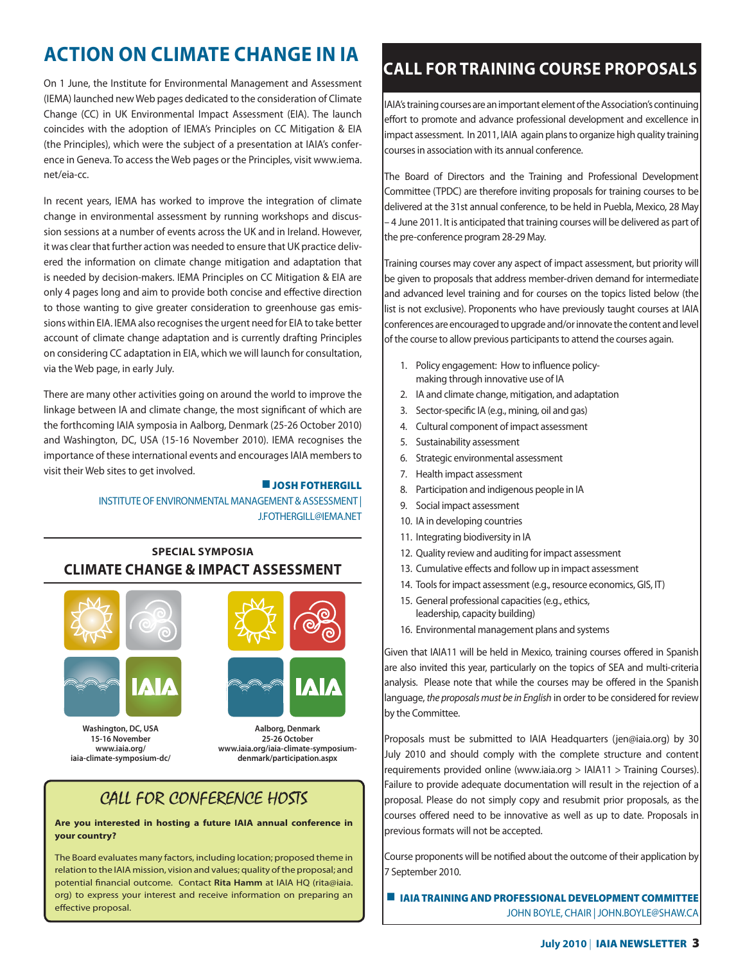### **ACTION ON CLIMATE CHANGE IN IA**

On 1 June, the Institute for Environmental Management and Assessment (IEMA) launched new Web pages dedicated to the consideration of Climate Change (CC) in UK Environmental Impact Assessment (EIA). The launch coincides with the adoption of IEMA's Principles on CC Mitigation & EIA (the Principles), which were the subject of a presentation at IAIA's conference in Geneva. To access the Web pages or the Principles, visit www.iema. net/eia-cc.

In recent years, IEMA has worked to improve the integration of climate change in environmental assessment by running workshops and discussion sessions at a number of events across the UK and in Ireland. However, it was clear that further action was needed to ensure that UK practice delivered the information on climate change mitigation and adaptation that is needed by decision-makers. IEMA Principles on CC Mitigation & EIA are only 4 pages long and aim to provide both concise and effective direction to those wanting to give greater consideration to greenhouse gas emissions within EIA. IEMA also recognises the urgent need for EIA to take better account of climate change adaptation and is currently drafting Principles on considering CC adaptation in EIA, which we will launch for consultation, via the Web page, in early July.

There are many other activities going on around the world to improve the linkage between IA and climate change, the most significant of which are the forthcoming IAIA symposia in Aalborg, Denmark (25-26 October 2010) and Washington, DC, USA (15-16 November 2010). IEMA recognises the importance of these international events and encourages IAIA members to visit their Web sites to get involved.

### ■ **JOSH FOTHERGILL**

INSTITUTE OF ENVIRONMENTAL MANAGEMENT & ASSESSMENT | J.FOTHERGILL@IEMA.NET

### **SPECIAL SYMPOSIA CLIMATE CHANGE & IMPACT ASSESSMENT**





**Washington, DC, USA 15-16 November www.iaia.org/ iaia-climate-symposium-dc/** 



**Aalborg, Denmark 25-26 October www.iaia.org/iaia-climate-symposiumdenmark/participation.aspx** 

### CALL FOR CONFERENCE HOSTS

**Are you interested in hosting a future IAIA annual conference in your country?** 

The Board evaluates many factors, including location; proposed theme in relation to the IAIA mission, vision and values; quality of the proposal; and potential financial outcome. Contact Rita Hamm at IAIA HQ (rita@iaia. org) to express your interest and receive information on preparing an effective proposal.

### **CALL FOR TRAINING COURSE PROPOSALS**

IAIA's training courses are an important element of the Association's continuing effort to promote and advance professional development and excellence in impact assessment. In 2011, IAIA again plans to organize high quality training courses in association with its annual conference.

The Board of Directors and the Training and Professional Development Committee (TPDC) are therefore inviting proposals for training courses to be delivered at the 31st annual conference, to be held in Puebla, Mexico, 28 May – 4 June 2011. It is anticipated that training courses will be delivered as part of the pre-conference program 28-29 May.

Training courses may cover any aspect of impact assessment, but priority will be given to proposals that address member-driven demand for intermediate and advanced level training and for courses on the topics listed below (the list is not exclusive). Proponents who have previously taught courses at IAIA conferences are encouraged to upgrade and/or innovate the content and level of the course to allow previous participants to attend the courses again.

- 1. Policy engagement: How to influence policymaking through innovative use of IA
- 2. IA and climate change, mitigation, and adaptation
- 3. Sector-specific IA (e.g., mining, oil and gas)
- 4. Cultural component of impact assessment
- 5. Sustainability assessment
- 6. Strategic environmental assessment
- 7. Health impact assessment
- 8. Participation and indigenous people in IA
- 9. Social impact assessment
- 10. IA in developing countries
- 11. Integrating biodiversity in IA
- 12. Quality review and auditing for impact assessment
- 13. Cumulative effects and follow up in impact assessment
- 14. Tools for impact assessment (e.g., resource economics, GIS, IT)
- 15. General professional capacities (e.g., ethics, leadership, capacity building)
- 16. Environmental management plans and systems

Given that IAIA11 will be held in Mexico, training courses offered in Spanish are also invited this year, particularly on the topics of SEA and multi-criteria analysis. Please note that while the courses may be offered in the Spanish language, the proposals must be in English in order to be considered for review by the Committee.

Proposals must be submitted to IAIA Headquarters (jen@iaia.org) by 30 July 2010 and should comply with the complete structure and content requirements provided online (www.iaia.org > IAIA11 > Training Courses). Failure to provide adequate documentation will result in the rejection of a proposal. Please do not simply copy and resubmit prior proposals, as the courses offered need to be innovative as well as up to date. Proposals in previous formats will not be accepted.

Course proponents will be notified about the outcome of their application by 7 September 2010.

■ **IAIA TRAINING AND PROFESSIONAL DEVELOPMENT COMMITTEE** JOHN BOYLE, CHAIR | JOHN.BOYLE@SHAW.CA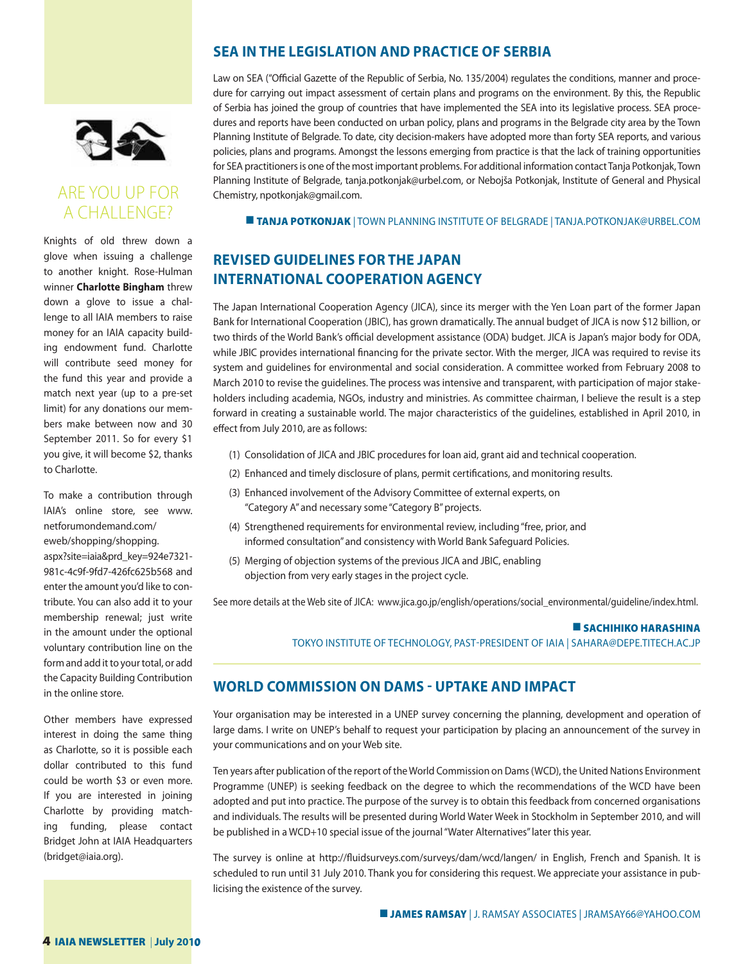

### ARE YOU UP FOR A CHALLENGE?

Knights of old threw down a glove when issuing a challenge to another knight. Rose-Hulman winner **Charlotte Bingham** threw down a glove to issue a challenge to all IAIA members to raise money for an IAIA capacity building endowment fund. Charlotte will contribute seed money for the fund this year and provide a match next year (up to a pre-set limit) for any donations our members make between now and 30 September 2011. So for every \$1 you give, it will become \$2, thanks to Charlotte.

To make a contribution through IAIA's online store, see www. netforumondemand.com/ eweb/shopping/shopping. aspx?site=iaia&prd\_key=924e7321- 981c-4c9f-9fd7-426fc625b568 and enter the amount you'd like to contribute. You can also add it to your membership renewal; just write in the amount under the optional voluntary contribution line on the form and add it to your total, or add the Capacity Building Contribution in the online store.

Other members have expressed interest in doing the same thing as Charlotte, so it is possible each dollar contributed to this fund could be worth \$3 or even more. If you are interested in joining Charlotte by providing matching funding, please contact Bridget John at IAIA Headquarters (bridget@iaia.org).

### **SEA IN THE LEGISLATION AND PRACTICE OF SERBIA**

Law on SEA ("Official Gazette of the Republic of Serbia, No. 135/2004) requlates the conditions, manner and procedure for carrying out impact assessment of certain plans and programs on the environment. By this, the Republic of Serbia has joined the group of countries that have implemented the SEA into its legislative process. SEA procedures and reports have been conducted on urban policy, plans and programs in the Belgrade city area by the Town Planning Institute of Belgrade. To date, city decision-makers have adopted more than forty SEA reports, and various policies, plans and programs. Amongst the lessons emerging from practice is that the lack of training opportunities for SEA practitioners is one of the most important problems. For additional information contact Tanja Potkonjak, Town Planning Institute of Belgrade, tanja.potkonjak@urbel.com, or Nebojša Potkonjak, Institute of General and Physical Chemistry, npotkonjak@gmail.com.

**TANJA POTKONJAK** | TOWN PLANNING INSTITUTE OF BELGRADE | TANJA.POTKONJAK@URBEL.COM

### **REVISED GUIDELINES FOR THE JAPAN INTERNATIONAL COOPERATION AGENCY**

The Japan International Cooperation Agency (JICA), since its merger with the Yen Loan part of the former Japan Bank for International Cooperation (JBIC), has grown dramatically. The annual budget of JICA is now \$12 billion, or two thirds of the World Bank's official development assistance (ODA) budget. JICA is Japan's major body for ODA, while JBIC provides international financing for the private sector. With the merger, JICA was required to revise its system and guidelines for environmental and social consideration. A committee worked from February 2008 to March 2010 to revise the guidelines. The process was intensive and transparent, with participation of major stakeholders including academia, NGOs, industry and ministries. As committee chairman, I believe the result is a step forward in creating a sustainable world. The major characteristics of the guidelines, established in April 2010, in effect from July 2010, are as follows:

- (1) Consolidation of JICA and JBIC procedures for loan aid, grant aid and technical cooperation.
- (2) Enhanced and timely disclosure of plans, permit certifications, and monitoring results.
- (3) Enhanced involvement of the Advisory Committee of external experts, on "Category A" and necessary some "Category B" projects.
- (4) Strengthened requirements for environmental review, including "free, prior, and informed consultation" and consistency with World Bank Safeguard Policies.
- (5) Merging of objection systems of the previous JICA and JBIC, enabling objection from very early stages in the project cycle.

See more details at the Web site of JICA: www.jica.go.jp/english/operations/social\_environmental/guideline/index.html.

### ■ **SACHIHIKO HARASHINA**

TOKYO INSTITUTE OF TECHNOLOGY, PAST-PRESIDENT OF IAIA | SAHARA@DEPE.TITECH.AC.JP

### **WORLD COMMISSION ON DAMS UPTAKE AND IMPACT**

Your organisation may be interested in a UNEP survey concerning the planning, development and operation of large dams. I write on UNEP's behalf to request your participation by placing an announcement of the survey in your communications and on your Web site.

Ten years after publication of the report of the World Commission on Dams (WCD), the United Nations Environment Programme (UNEP) is seeking feedback on the degree to which the recommendations of the WCD have been adopted and put into practice. The purpose of the survey is to obtain this feedback from concerned organisations and individuals. The results will be presented during World Water Week in Stockholm in September 2010, and will be published in a WCD+10 special issue of the journal "Water Alternatives" later this year.

The survey is online at http://fluidsurveys.com/surveys/dam/wcd/langen/ in English, French and Spanish. It is scheduled to run until 31 July 2010. Thank you for considering this request. We appreciate your assistance in publicising the existence of the survey.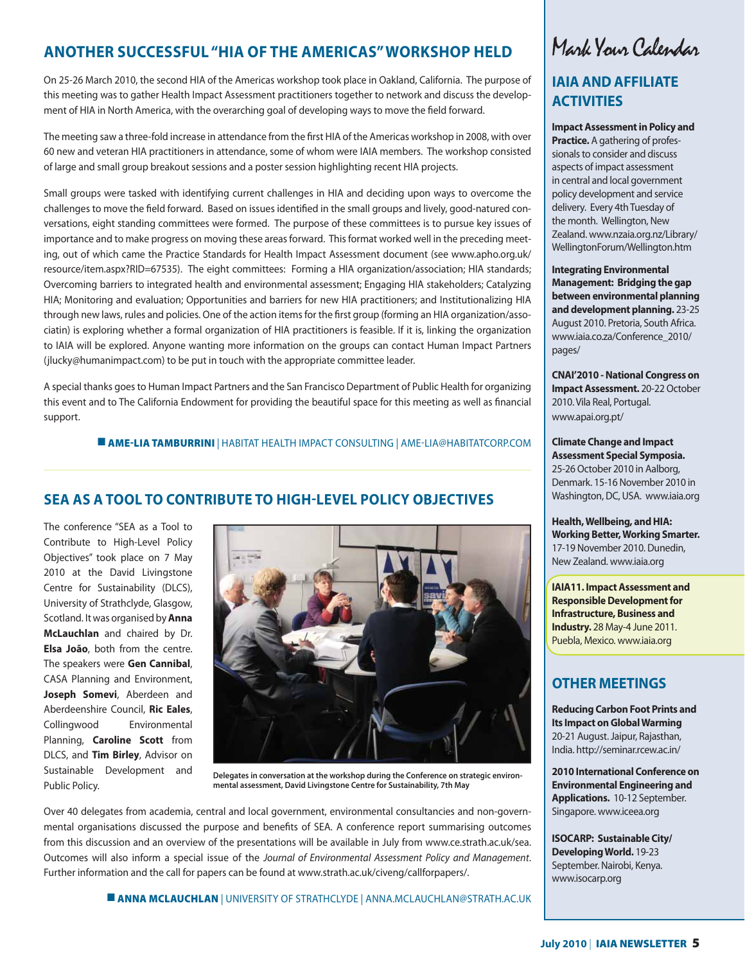### **ANOTHER SUCCESSFUL "HIA OF THE AMERICAS" WORKSHOP HELD**

On 25-26 March 2010, the second HIA of the Americas workshop took place in Oakland, California. The purpose of this meeting was to gather Health Impact Assessment practitioners together to network and discuss the development of HIA in North America, with the overarching goal of developing ways to move the field forward.

The meeting saw a three-fold increase in attendance from the first HIA of the Americas workshop in 2008, with over 60 new and veteran HIA practitioners in attendance, some of whom were IAIA members. The workshop consisted of large and small group breakout sessions and a poster session highlighting recent HIA projects.

Small groups were tasked with identifying current challenges in HIA and deciding upon ways to overcome the challenges to move the field forward. Based on issues identified in the small groups and lively, good-natured conversations, eight standing committees were formed. The purpose of these committees is to pursue key issues of importance and to make progress on moving these areas forward. This format worked well in the preceding meeting, out of which came the Practice Standards for Health Impact Assessment document (see www.apho.org.uk/ resource/item.aspx?RID=67535). The eight committees: Forming a HIA organization/association; HIA standards; Overcoming barriers to integrated health and environmental assessment; Engaging HIA stakeholders; Catalyzing HIA; Monitoring and evaluation; Opportunities and barriers for new HIA practitioners; and Institutionalizing HIA through new laws, rules and policies. One of the action items for the first group (forming an HIA organization/associatin) is exploring whether a formal organization of HIA practitioners is feasible. If it is, linking the organization to IAIA will be explored. Anyone wanting more information on the groups can contact Human Impact Partners (jlucky@humanimpact.com) to be put in touch with the appropriate committee leader.

A special thanks goes to Human Impact Partners and the San Francisco Department of Public Health for organizing this event and to The California Endowment for providing the beautiful space for this meeting as well as financial support.

**E AME-LIA TAMBURRINI** | HABITAT HEALTH IMPACT CONSULTING | AME-LIA@HABITATCORP.COM

### **SEA AS A TOOL TO CONTRIBUTE TO HIGHLEVEL POLICY OBJECTIVES**

The conference "SEA as a Tool to Contribute to High-Level Policy Objectives" took place on 7 May 2010 at the David Livingstone Centre for Sustainability (DLCS), University of Strathclyde, Glasgow, Scotland. It was organised by **Anna McLauchlan** and chaired by Dr. **Elsa João**, both from the centre. The speakers were **Gen Cannibal**, CASA Planning and Environment, **Joseph Somevi**, Aberdeen and Aberdeenshire Council, **Ric Eales**, Collingwood Environmental Planning, **Caroline Scott** from DLCS, and **Tim Birley**, Advisor on Sustainable Development and Public Policy.



**Delegates in conversation at the workshop during the Conference on strategic environmental assessment, David Livingstone Centre for Sustainability, 7th May**

Over 40 delegates from academia, central and local government, environmental consultancies and non-governmental organisations discussed the purpose and benefits of SEA. A conference report summarising outcomes from this discussion and an overview of the presentations will be available in July from www.ce.strath.ac.uk/sea. Outcomes will also inform a special issue of the Journal of Environmental Assessment Policy and Management. Further information and the call for papers can be found at www.strath.ac.uk/civeng/callforpapers/.

## Mark Your Calendar

### **IAIA AND AFFILIATE ACTIVITIES**

**Impact Assessment in Policy and Practice.** A gathering of professionals to consider and discuss aspects of impact assessment in central and local government policy development and service delivery. Every 4th Tuesday of the month. Wellington, New Zealand. www.nzaia.org.nz/Library/ WellingtonForum/Wellington.htm

**Integrating Environmental Management: Bridging the gap between environmental planning and development planning.** 23-25 August 2010. Pretoria, South Africa. www.iaia.co.za/Conference\_2010/ pages/

**CNAI'2010 - National Congress on Impact Assessment.** 20-22 October 2010. Vila Real, Portugal. www.apai.org.pt/

**Climate Change and Impact Assessment Special Symposia.**  25-26 October 2010 in Aalborg, Denmark. 15-16 November 2010 in Washington, DC, USA. www.iaia.org

**Health, Wellbeing, and HIA: Working Better, Working Smarter.**  17-19 November 2010. Dunedin, New Zealand. www.iaia.org

**IAIA11. Impact Assessment and Responsible Development for Infrastructure, Business and Industry.** 28 May-4 June 2011. Puebla, Mexico. www.iaia.org

### **OTHER MEETINGS**

**Reducing Carbon Foot Prints and Its Impact on Global Warming**  20-21 August. Jaipur, Rajasthan, India. http://seminar.rcew.ac.in/

**2010 International Conference on Environmental Engineering and Applications.** 10-12 September. Singapore. www.iceea.org

**ISOCARP: Sustainable City/ Developing World.** 19-23 September. Nairobi, Kenya. www.isocarp.org

■ **ANNA MCLAUCHLAN** | UNIVERSITY OF STRATHCLYDE | ANNA.MCLAUCHLANSTRATH.AC.UK

### **July 2010** | **IAIA NEWSLETTER 5**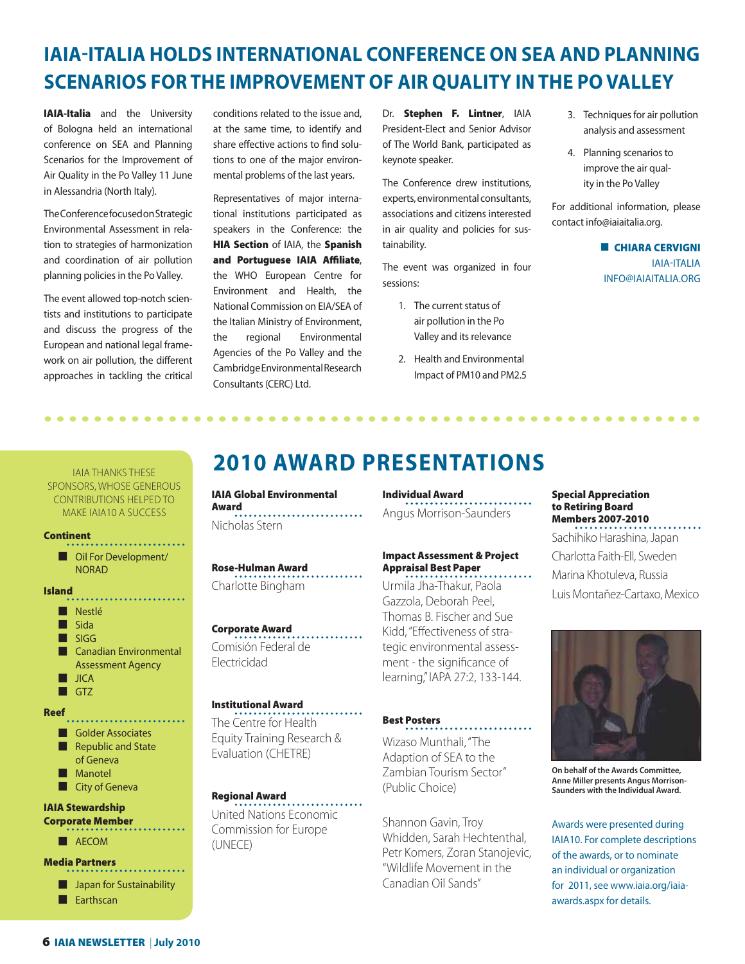## **IAIA-ITALIA HOLDS INTERNATIONAL CONFERENCE ON SEA AND PLANNING SCENARIOS FOR THE IMPROVEMENT OF AIR QUALITY IN THE PO VALLEY**

**IAIA-Italia** and the University of Bologna held an international conference on SEA and Planning Scenarios for the Improvement of Air Quality in the Po Valley 11 June in Alessandria (North Italy).

The Conference focused on Strategic Environmental Assessment in relation to strategies of harmonization and coordination of air pollution planning policies in the Po Valley.

The event allowed top-notch scientists and institutions to participate and discuss the progress of the European and national legal framework on air pollution, the different approaches in tackling the critical

conditions related to the issue and, at the same time, to identify and share effective actions to find solutions to one of the major environmental problems of the last years.

Representatives of major international institutions participated as speakers in the Conference: the **HIA Section** of IAIA, the **Spanish**  and Portuguese IAIA Affiliate, the WHO European Centre for Environment and Health, the National Commission on EIA/SEA of the Italian Ministry of Environment, the regional Environmental Agencies of the Po Valley and the Cambridge Environmental Research Consultants (CERC) Ltd.

Dr. **Stephen F. Lintner**, IAIA President-Elect and Senior Advisor of The World Bank, participated as keynote speaker.

The Conference drew institutions, experts, environmental consultants, associations and citizens interested in air quality and policies for sustainability.

The event was organized in four sessions:

- 1. The current status of air pollution in the Po Valley and its relevance
- 2. Health and Environmental Impact of PM10 and PM2.5
- 3. Techniques for air pollution analysis and assessment
- 4. Planning scenarios to improve the air quality in the Po Valley

For additional information, please contact info@iaiaitalia.org.

> ■ **CHIARA CERVIGNI IAIA-ITALIA** INFO@IAIAITALIA.ORG

### IAIA THANKS THESE SPONSORS, WHOSE GENEROUS CONTRIBUTIONS HELPED TO MAKE IAIA10 A SUCCESS

### **Continent**

■ Oil For Development/ NORAD

#### **Island**

■ Nestlé ■ Sida ■ SIGG ■ Canadian Environmental Assessment Agency ■ JICA ■ GTZ **Reef** ■ Golder Associates ■ Republic and State of Geneva ■ Manotel ■ City of Geneva **IAIA Stewardship Corporate Member** ■ AECOM **Media Partners** . . . . . . . . . . ■ Japan for Sustainability ■ Earthscan

## **2010 AWARD PRESENTATIONS**

**•••••••••••••••••••••••••••••••••••••••••••••••••••••**

**IAIA Global Environmental Award** Nicholas Stern

**Rose-Hulman Award** Charlotte Bingham

### **Corporate Award**

Comisión Federal de Electricidad

### **Institutional Award**

The Centre for Health Equity Training Research & Evaluation (CHETRE)

### **Regional Award**

United Nations Economic Commission for Europe (UNECE)

### **Individual Award**

Angus Morrison-Saunders

#### **Impact Assessment & Project Appraisal Best Paper** . . . . . . .

Urmila Jha-Thakur, Paola Gazzola, Deborah Peel, Thomas B. Fischer and Sue Kidd, "Effectiveness of strategic environmental assessment - the significance of learning," IAPA 27:2, 133-144.

### **Best Posters**

Wizaso Munthali, "The Adaption of SEA to the Zambian Tourism Sector" (Public Choice)

Shannon Gavin, Troy Whidden, Sarah Hechtenthal, Petr Komers, Zoran Stanojevic, "Wildlife Movement in the Canadian Oil Sands"

#### **Special Appreciation to Retiring Board Members 2007-2010** . . . . . . . .

Sachihiko Harashina, Japan Charlotta Faith-Ell, Sweden Marina Khotuleva, Russia Luis Montañez-Cartaxo, Mexico



**On behalf of the Awards Committee, Anne Miller presents Angus Morrison-Saunders with the Individual Award.** 

Awards were presented during IAIA10. For complete descriptions of the awards, or to nominate an individual or organization for 2011, see www.iaia.org/iaiaawards.aspx for details.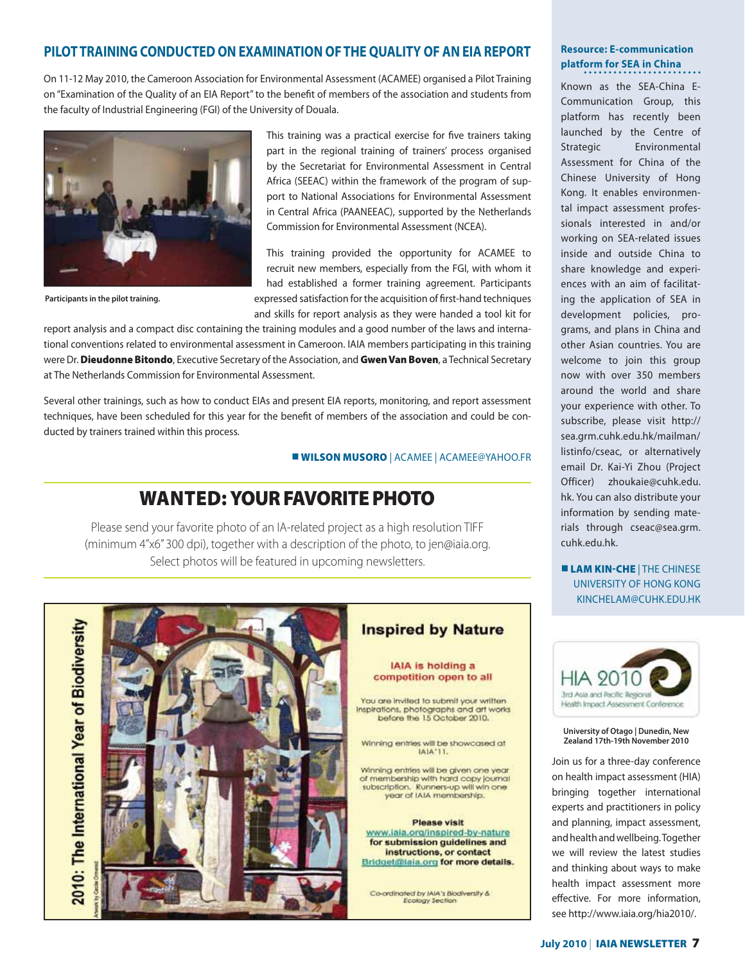### **PILOT TRAINING CONDUCTED ON EXAMINATION OF THE QUALITY OF AN EIA REPORT**

On 11-12 May 2010, the Cameroon Association for Environmental Assessment (ACAMEE) organised a Pilot Training on "Examination of the Quality of an EIA Report" to the benefit of members of the association and students from the faculty of Industrial Engineering (FGI) of the University of Douala.



**Participants in the pilot training.**

This training was a practical exercise for five trainers taking part in the regional training of trainers' process organised by the Secretariat for Environmental Assessment in Central Africa (SEEAC) within the framework of the program of support to National Associations for Environmental Assessment in Central Africa (PAANEEAC), supported by the Netherlands Commission for Environmental Assessment (NCEA).

This training provided the opportunity for ACAMEE to recruit new members, especially from the FGI, with whom it had established a former training agreement. Participants expressed satisfaction for the acquisition of first-hand techniques and skills for report analysis as they were handed a tool kit for

report analysis and a compact disc containing the training modules and a good number of the laws and international conventions related to environmental assessment in Cameroon. IAIA members participating in this training were Dr. **Dieudonne Bitondo**, Executive Secretary of the Association, and **Gwen Van Boven**, a Technical Secretary at The Netherlands Commission for Environmental Assessment.

Several other trainings, such as how to conduct EIAs and present EIA reports, monitoring, and report assessment techniques, have been scheduled for this year for the benefit of members of the association and could be conducted by trainers trained within this process.

### ■ **WILSON MUSORO** | ACAMEE | ACAMEEYAHOO.FR

### **WANTED: YOUR FAVORITE PHOTO**

Please send your favorite photo of an IA-related project as a high resolution TIFF (minimum 4"x6" 300 dpi), together with a description of the photo, to jen@iaia.org. Select photos will be featured in upcoming newsletters.

2010: The International Year of Biodiversity



### **Inspired by Nature**

IAIA is holding a competition open to all

You are invited to submit your written inspirations, photographs and art works before the 15 October 2010.

Winning entries will be showcased at IAIA'11.

Winning entries will be given one year of membership with hard copy journal<br>subscription. Runners-up will win one year of tAIA membership.

**Please visit** www.iaia.org/inspired-by-nature for submission guidelines and instructions, or contact Bridget@laia.org for more details.

Co-ordinated by IAIA's Blodiversity & Ecology Section

### **Resource: E-communication platform for SEA in China**

Known as the SEA-China E-Communication Group, this platform has recently been launched by the Centre of Strategic Environmental Assessment for China of the Chinese University of Hong Kong. It enables environmental impact assessment professionals interested in and/or working on SEA-related issues inside and outside China to share knowledge and experiences with an aim of facilitating the application of SEA in development policies, programs, and plans in China and other Asian countries. You are welcome to join this group now with over 350 members around the world and share your experience with other. To subscribe, please visit http:// sea.grm.cuhk.edu.hk/mailman/ listinfo/cseac, or alternatively email Dr. Kai-Yi Zhou (Project Officer) zhoukaie@cuhk.edu. hk. You can also distribute your information by sending materials through cseac@sea.grm. cuhk.edu.hk.

**ELAM KIN-CHE | THE CHINESE** UNIVERSITY OF HONG KONG KINCHELAM@CUHK.EDU.HK



#### **University of Otago | Dunedin, New Zealand 17th-19th November 2010**

Join us for a three-day conference on health impact assessment (HIA) bringing together international experts and practitioners in policy and planning, impact assessment, and health and wellbeing. Together we will review the latest studies and thinking about ways to make health impact assessment more effective. For more information, see http://www.iaia.org/hia2010/.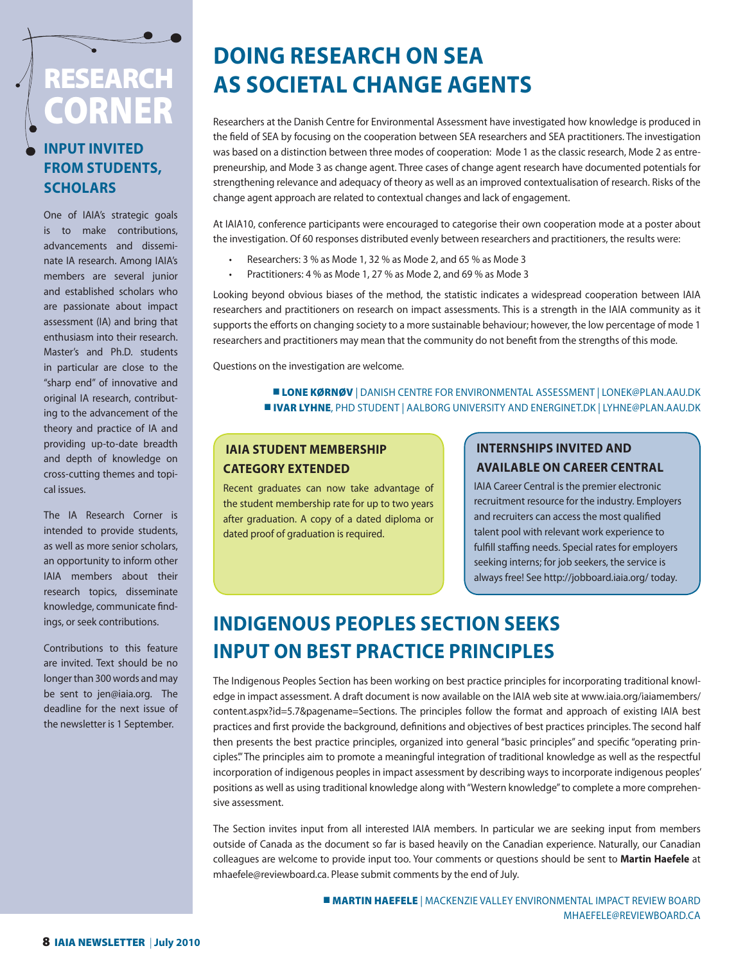# **RESEARCH CORNER**

### **INPUT INVITED FROM STUDENTS, SCHOLARS**

One of IAIA's strategic goals is to make contributions, advancements and disseminate IA research. Among IAIA's members are several junior and established scholars who are passionate about impact assessment (IA) and bring that enthusiasm into their research. Master's and Ph.D. students in particular are close to the "sharp end" of innovative and original IA research, contributing to the advancement of the theory and practice of IA and providing up-to-date breadth and depth of knowledge on cross-cutting themes and topical issues.

The IA Research Corner is intended to provide students, as well as more senior scholars, an opportunity to inform other IAIA members about their research topics, disseminate knowledge, communicate findings, or seek contributions.

Contributions to this feature are invited. Text should be no longer than 300 words and may be sent to jen@iaia.org. The deadline for the next issue of the newsletter is 1 September.

# **DOING RESEARCH ON SEA AS SOCIETAL CHANGE AGENTS**

Researchers at the Danish Centre for Environmental Assessment have investigated how knowledge is produced in the field of SEA by focusing on the cooperation between SEA researchers and SEA practitioners. The investigation was based on a distinction between three modes of cooperation: Mode 1 as the classic research, Mode 2 as entrepreneurship, and Mode 3 as change agent. Three cases of change agent research have documented potentials for strengthening relevance and adequacy of theory as well as an improved contextualisation of research. Risks of the change agent approach are related to contextual changes and lack of engagement.

At IAIA10, conference participants were encouraged to categorise their own cooperation mode at a poster about the investigation. Of 60 responses distributed evenly between researchers and practitioners, the results were:

- Researchers: 3 % as Mode 1, 32 % as Mode 2, and 65 % as Mode 3
- Practitioners: 4 % as Mode 1, 27 % as Mode 2, and 69 % as Mode 3

Looking beyond obvious biases of the method, the statistic indicates a widespread cooperation between IAIA researchers and practitioners on research on impact assessments. This is a strength in the IAIA community as it supports the efforts on changing society to a more sustainable behaviour; however, the low percentage of mode 1 researchers and practitioners may mean that the community do not benefit from the strengths of this mode.

Questions on the investigation are welcome.

### **LONE KØRNØV** | DANISH CENTRE FOR ENVIRONMENTAL ASSESSMENT | LONEK@PLAN.AAU.DK ■ **IVAR LYHNE**, PHD STUDENT | AALBORG UNIVERSITY AND ENERGINET.DK | LYHNEPLAN.AAU.DK

### **IAIA STUDENT MEMBERSHIP CATEGORY EXTENDED**

Recent graduates can now take advantage of the student membership rate for up to two years after graduation. A copy of a dated diploma or dated proof of graduation is required.

### **INTERNSHIPS INVITED AND AVAILABLE ON CAREER CENTRAL**

IAIA Career Central is the premier electronic recruitment resource for the industry. Employers and recruiters can access the most qualified talent pool with relevant work experience to fulfill staffing needs. Special rates for employers seeking interns; for job seekers, the service is always free! See http://jobboard.iaia.org/ today.

### **INDIGENOUS PEOPLES SECTION SEEKS INPUT ON BEST PRACTICE PRINCIPLES**

The Indigenous Peoples Section has been working on best practice principles for incorporating traditional knowledge in impact assessment. A draft document is now available on the IAIA web site at www.iaia.org/iaiamembers/ content.aspx?id=5.7&pagename=Sections. The principles follow the format and approach of existing IAIA best practices and first provide the background, definitions and objectives of best practices principles. The second half then presents the best practice principles, organized into general "basic principles" and specific "operating principles'." The principles aim to promote a meaningful integration of traditional knowledge as well as the respectful incorporation of indigenous peoples in impact assessment by describing ways to incorporate indigenous peoples' positions as well as using traditional knowledge along with "Western knowledge" to complete a more comprehensive assessment.

The Section invites input from all interested IAIA members. In particular we are seeking input from members outside of Canada as the document so far is based heavily on the Canadian experience. Naturally, our Canadian colleagues are welcome to provide input too. Your comments or questions should be sent to **Martin Haefele** at mhaefele@reviewboard.ca. Please submit comments by the end of July.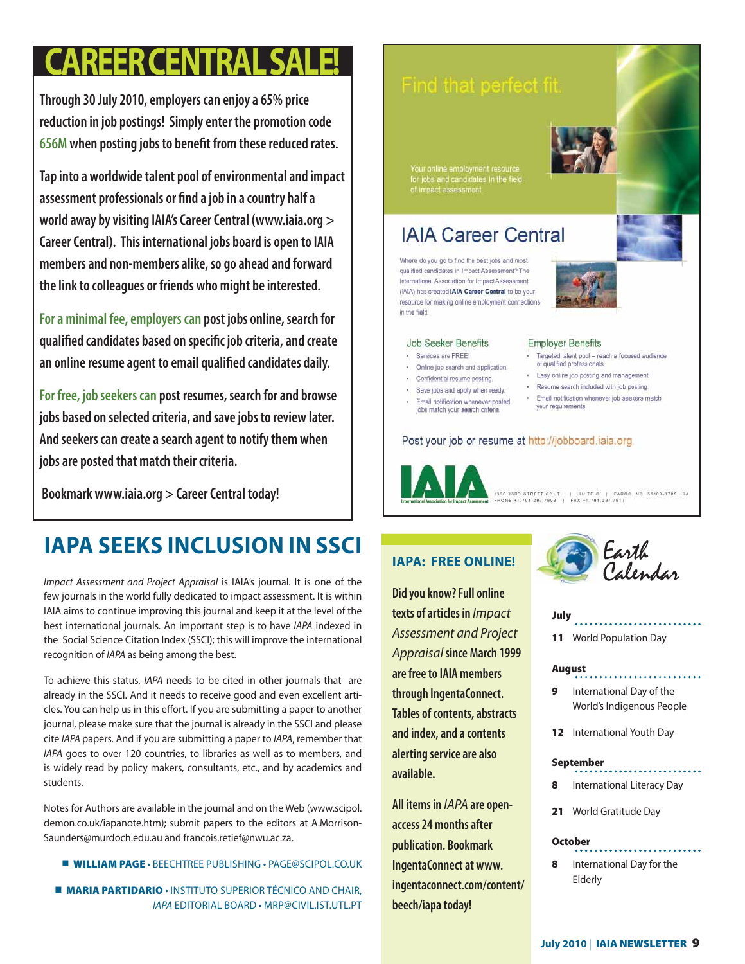# **CAREER CENTRAL SALE!**

**Through 30 July 2010, employers can enjoy a 65% price reduction in job postings! Simply enter the promotion code 656M** when posting jobs to benefit from these reduced rates.

**Tap into a worldwide talent pool of environmental and impact**  assessment professionals or find a job in a country half a **world away by visiting IAIA's Career Central (www.iaia.org > Career Central). This international jobs board is open to IAIA members and non-members alike, so go ahead and forward the link to colleagues or friends who might be interested.**

**For a minimal fee, employers can post jobs online, search for**  qualified candidates based on specific job criteria, and create an online resume agent to email qualified candidates daily.

**For free, job seekers can post resumes, search for and browse jobs based on selected criteria, and save jobs to review later. And seekers can create a search agent to notify them when jobs are posted that match their criteria.** 

 **Bookmark www.iaia.org > Career Central today!**

## **IAPA SEEKS INCLUSION IN SSCI**

Impact Assessment and Project Appraisal is IAIA's journal. It is one of the few journals in the world fully dedicated to impact assessment. It is within IAIA aims to continue improving this journal and keep it at the level of the best international journals. An important step is to have IAPA indexed in the Social Science Citation Index (SSCI); this will improve the international recognition of IAPA as being among the best.

To achieve this status, IAPA needs to be cited in other journals that are already in the SSCI. And it needs to receive good and even excellent articles. You can help us in this effort. If you are submitting a paper to another journal, please make sure that the journal is already in the SSCI and please cite IAPA papers. And if you are submitting a paper to IAPA, remember that IAPA goes to over 120 countries, to libraries as well as to members, and is widely read by policy makers, consultants, etc., and by academics and students.

Notes for Authors are available in the journal and on the Web (www.scipol. demon.co.uk/iapanote.htm); submit papers to the editors at A.Morrison-Saunders@murdoch.edu.au and francois.retief@nwu.ac.za.

**U WILLIAM PAGE · BEECHTREE PUBLISHING · PAGE@SCIPOL.CO.UK** 

■ **MARIA PARTIDARIO** • INSTITUTO SUPERIOR TÉCNICO AND CHAIR, IAPA EDITORIAL BOARD • MRP@CIVIL.IST.UTL.PT

### Find that perfect fit.

Your online employment resource<br>for jobs and candidates in the field<br>of impact assessment.

### **IAIA Career Central**

Where do you go to find the best jobs and most qualified candidates in Impact Assessment? The International Association for Impact Assessment (IAIA) has created IAIA Career Central to be your resource for making online employment connections in the field.

#### Job Seeker Benefits

- · Services are FREE!
- . Online job search and application.
- Confidential resume posting.
- · Save jobs and apply when ready.
- · Email notification whenever posted jobs match your search criteria.

### · Targeted talent pool - reach a focused audience<br>of qualified professionals. · Easy online job posting and management.

**Employer Benefits** 

- · Resume search included with job posting.
- · Email notification whenever job seekers match
- your requirements.

Post your job or resume at http://jobboard.iaia.org.

1330 23RD STREET SOUTH | SUITE C | FARGO, ND 58103-3785 USA<br>PHONE +1.781.297.7908 | FAX +1.781.297.7917

**Did you know? Full online texts of articles in** Impact Assessment and Project Appraisal **since March 1999 are free to IAIA members through IngentaConnect. Tables of contents, abstracts and index, and a contents alerting service are also available.** 

**All items in** IAPA **are openaccess 24 months after publication. Bookmark IngentaConnect at www. ingentaconnect.com/content/ beech/iapa today!**



#### **July**

**11** World Population Day

### **August**

**9** International Day of the World's Indigenous People

. . . . . . . . . . . . . . . . . . .

**12** International Youth Day

### **September**

- **8** International Literacy Day
- **21** World Gratitude Day

### **October**

**8** International Day for the Elderly

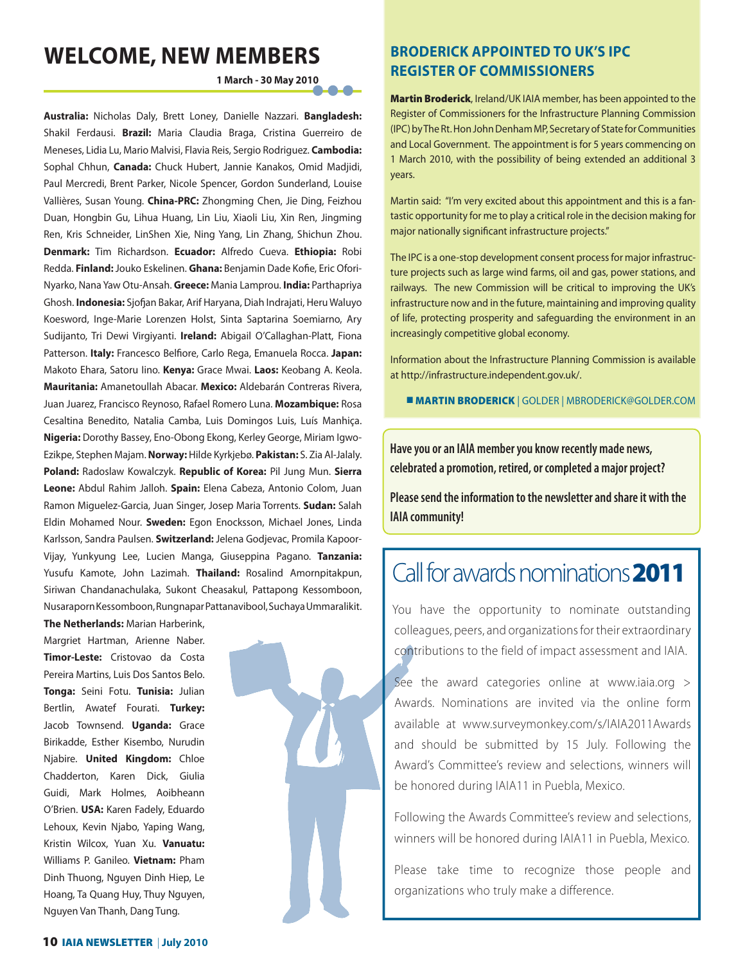### **WELCOME, NEW MEMBERS**

 **1 March - 30 May 2010 • • •**

**Australia:** Nicholas Daly, Brett Loney, Danielle Nazzari. **Bangladesh:**  Shakil Ferdausi. **Brazil:** Maria Claudia Braga, Cristina Guerreiro de Meneses, Lidia Lu, Mario Malvisi, Flavia Reis, Sergio Rodriguez. **Cambodia:**  Sophal Chhun, **Canada:** Chuck Hubert, Jannie Kanakos, Omid Madjidi, Paul Mercredi, Brent Parker, Nicole Spencer, Gordon Sunderland, Louise Vallières, Susan Young. **China-PRC:** Zhongming Chen, Jie Ding, Feizhou Duan, Hongbin Gu, Lihua Huang, Lin Liu, Xiaoli Liu, Xin Ren, Jingming Ren, Kris Schneider, LinShen Xie, Ning Yang, Lin Zhang, Shichun Zhou. **Denmark:** Tim Richardson. **Ecuador:** Alfredo Cueva. **Ethiopia:** Robi Redda. Finland: Jouko Eskelinen. Ghana: Benjamin Dade Kofie, Eric Ofori-Nyarko, Nana Yaw Otu-Ansah. **Greece:** Mania Lamprou. **India:** Parthapriya Ghosh. **Indonesia:** Sjofjan Bakar, Arif Haryana, Diah Indrajati, Heru Waluyo Koesword, Inge-Marie Lorenzen Holst, Sinta Saptarina Soemiarno, Ary Sudijanto, Tri Dewi Virgiyanti. **Ireland:** Abigail O'Callaghan-Platt, Fiona Patterson. Italy: Francesco Belfiore, Carlo Rega, Emanuela Rocca. Japan: Makoto Ehara, Satoru Iino. **Kenya:** Grace Mwai. **Laos:** Keobang A. Keola. **Mauritania:** Amanetoullah Abacar. **Mexico:** Aldebarán Contreras Rivera, Juan Juarez, Francisco Reynoso, Rafael Romero Luna. **Mozambique:** Rosa Cesaltina Benedito, Natalia Camba, Luis Domingos Luis, Luís Manhiça. **Nigeria:** Dorothy Bassey, Eno-Obong Ekong, Kerley George, Miriam Igwo-Ezikpe, Stephen Majam. **Norway:** Hilde Kyrkjebø. **Pakistan:** S. Zia Al-Jalaly. **Poland:** Radoslaw Kowalczyk. **Republic of Korea:** Pil Jung Mun. **Sierra Leone:** Abdul Rahim Jalloh. **Spain:** Elena Cabeza, Antonio Colom, Juan Ramon Miguelez-Garcia, Juan Singer, Josep Maria Torrents. **Sudan:** Salah Eldin Mohamed Nour. **Sweden:** Egon Enocksson, Michael Jones, Linda Karlsson, Sandra Paulsen. **Switzerland:** Jelena Godjevac, Promila Kapoor-Vijay, Yunkyung Lee, Lucien Manga, Giuseppina Pagano. **Tanzania:** Yusufu Kamote, John Lazimah. **Thailand:** Rosalind Amornpitakpun, Siriwan Chandanachulaka, Sukont Cheasakul, Pattapong Kessomboon, Nusaraporn Kessomboon, Rungnapar Pattanavibool, Suchaya Ummaralikit.

**The Netherlands:** Marian Harberink, Margriet Hartman, Arienne Naber. **Timor-Leste:** Cristovao da Costa Pereira Martins, Luis Dos Santos Belo. **Tonga:** Seini Fotu. **Tunisia:** Julian Bertlin, Awatef Fourati. **Turkey:**  Jacob Townsend. **Uganda:** Grace Birikadde, Esther Kisembo, Nurudin Njabire. **United Kingdom:** Chloe Chadderton, Karen Dick, Giulia Guidi, Mark Holmes, Aoibheann O'Brien. **USA:** Karen Fadely, Eduardo Lehoux, Kevin Njabo, Yaping Wang, Kristin Wilcox, Yuan Xu. **Vanuatu:** Williams P. Ganileo. **Vietnam:** Pham Dinh Thuong, Nguyen Dinh Hiep, Le Hoang, Ta Quang Huy, Thuy Nguyen, Nguyen Van Thanh, Dang Tung.



### **BRODERICK APPOINTED TO UK'S IPC REGISTER OF COMMISSIONERS**

**Martin Broderick**, Ireland/UK IAIA member, has been appointed to the Register of Commissioners for the Infrastructure Planning Commission (IPC) by The Rt. Hon John Denham MP, Secretary of State for Communities and Local Government. The appointment is for 5 years commencing on 1 March 2010, with the possibility of being extended an additional 3 years.

Martin said: "I'm very excited about this appointment and this is a fantastic opportunity for me to play a critical role in the decision making for major nationally significant infrastructure projects."

The IPC is a one-stop development consent process for major infrastructure projects such as large wind farms, oil and gas, power stations, and railways. The new Commission will be critical to improving the UK's infrastructure now and in the future, maintaining and improving quality of life, protecting prosperity and safeguarding the environment in an increasingly competitive global economy.

Information about the Infrastructure Planning Commission is available at http://infrastructure.independent.gov.uk/.

■ **MARTIN BRODERICK** | GOLDER | MBRODERICK@GOLDER.COM

**Have you or an IAIA member you know recently made news, celebrated a promotion, retired, or completed a major project?** 

**Please send the information to the newsletter and share it with the IAIA community!**

# Call for awards nominations**2011**

You have the opportunity to nominate outstanding colleagues, peers, and organizations for their extraordinary contributions to the field of impact assessment and IAIA.

See the award categories online at www.iaia.org > Awards. Nominations are invited via the online form available at www.surveymonkey.com/s/IAIA2011Awards and should be submitted by 15 July. Following the Award's Committee's review and selections, winners will be honored during IAIA11 in Puebla, Mexico.

Following the Awards Committee's review and selections, winners will be honored during IAIA11 in Puebla, Mexico.

Please take time to recognize those people and organizations who truly make a difference.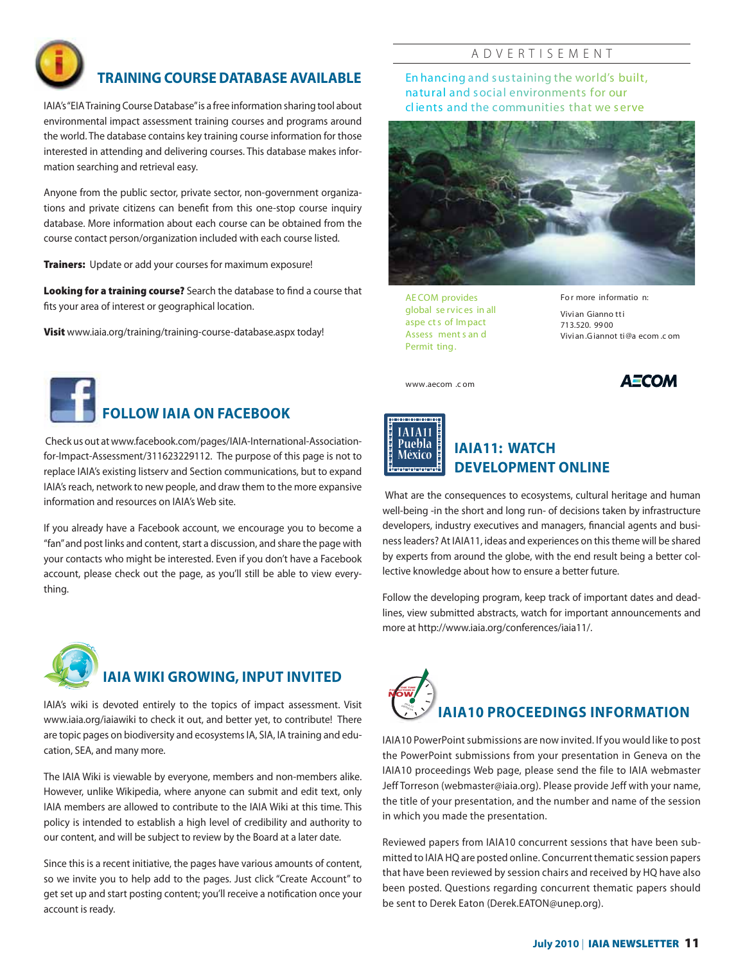

### **TRAINING COURSE DATABASE AVAILABLE**

IAIA's "EIA Training Course Database" is a free information sharing tool about environmental impact assessment training courses and programs around the world. The database contains key training course information for those interested in attending and delivering courses. This database makes information searching and retrieval easy.

Anyone from the public sector, private sector, non-government organizations and private citizens can benefit from this one-stop course inquiry database. More information about each course can be obtained from the course contact person/organization included with each course listed.

**Trainers:** Update or add your courses for maximum exposure!

Looking for a training course? Search the database to find a course that fits your area of interest or geographical location.

**Visit** www.iaia.org/training/training-course-database.aspx today!

# **FOLLOW IAIA ON FACEBOOK**

 Check us out at www.facebook.com/pages/IAIA-International-Associationfor-Impact-Assessment/311623229112. The purpose of this page is not to replace IAIA's existing listserv and Section communications, but to expand IAIA's reach, network to new people, and draw them to the more expansive information and resources on IAIA's Web site.

If you already have a Facebook account, we encourage you to become a "fan" and post links and content, start a discussion, and share the page with your contacts who might be interested. Even if you don't have a Facebook account, please check out the page, as you'll still be able to view everything.



### **IAIA WIKI GROWING, INPUT INVITED**

IAIA's wiki is devoted entirely to the topics of impact assessment. Visit www.iaia.org/iaiawiki to check it out, and better yet, to contribute! There are topic pages on biodiversity and ecosystems IA, SIA, IA training and education, SEA, and many more.

The IAIA Wiki is viewable by everyone, members and non-members alike. However, unlike Wikipedia, where anyone can submit and edit text, only IAIA members are allowed to contribute to the IAIA Wiki at this time. This policy is intended to establish a high level of credibility and authority to our content, and will be subject to review by the Board at a later date.

Since this is a recent initiative, the pages have various amounts of content, so we invite you to help add to the pages. Just click "Create Account" to get set up and start posting content; you'll receive a notification once your account is ready.

### A D V E R T I S E M E N T

**En hancing and sustaining the world's built, natural and social environments for our cl ients and the communities that we serve**



AE COM provides global se rvic es in all aspe ct s of Im pact Assess ment s an d Permit ting.

**Fo r more informatio n:**

Vivian Gianno tt i 713.520. 99 00 Vivi an .Giannot ti@a ecom .c om

www.aecom .c om





### **México IAIA11: WATCH DEVELOPMENT ONLINE**

 What are the consequences to ecosystems, cultural heritage and human well-being -in the short and long run- of decisions taken by infrastructure developers, industry executives and managers, financial agents and business leaders? At IAIA11, ideas and experiences on this theme will be shared by experts from around the globe, with the end result being a better collective knowledge about how to ensure a better future.

Follow the developing program, keep track of important dates and deadlines, view submitted abstracts, watch for important announcements and more at http://www.iaia.org/conferences/iaia11/.



IAIA10 PowerPoint submissions are now invited. If you would like to post the PowerPoint submissions from your presentation in Geneva on the IAIA10 proceedings Web page, please send the file to IAIA webmaster Jeff Torreson (webmaster@iaia.org). Please provide Jeff with your name, the title of your presentation, and the number and name of the session in which you made the presentation.

Reviewed papers from IAIA10 concurrent sessions that have been submitted to IAIA HQ are posted online. Concurrent thematic session papers that have been reviewed by session chairs and received by HQ have also been posted. Questions regarding concurrent thematic papers should be sent to Derek Eaton (Derek.EATON@unep.org).